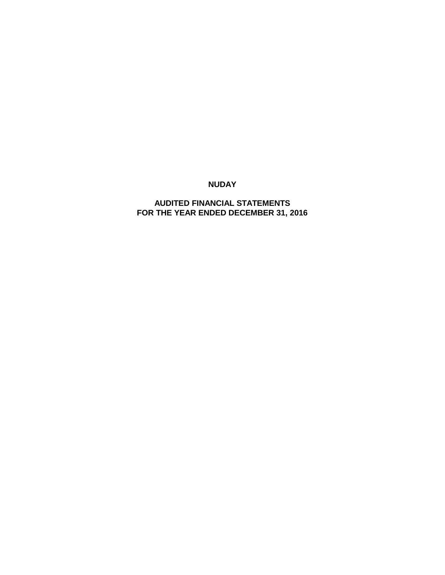# **NUDAY**

# **AUDITED FINANCIAL STATEMENTS FOR THE YEAR ENDED DECEMBER 31, 2016**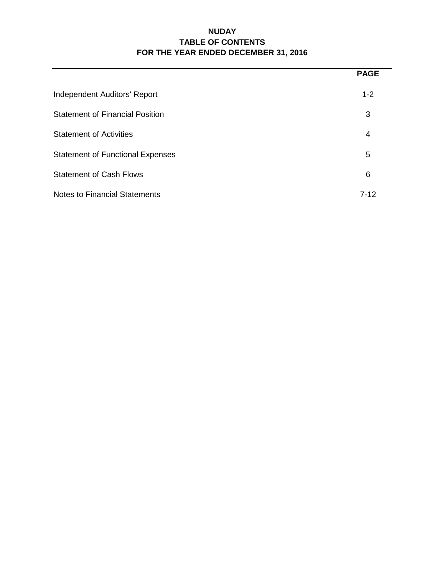# **NUDAY TABLE OF CONTENTS FOR THE YEAR ENDED DECEMBER 31, 2016**

|                                         | <b>PAGE</b> |
|-----------------------------------------|-------------|
| Independent Auditors' Report            | $1 - 2$     |
| <b>Statement of Financial Position</b>  | 3           |
| <b>Statement of Activities</b>          | 4           |
| <b>Statement of Functional Expenses</b> | 5           |
| <b>Statement of Cash Flows</b>          | 6           |
| <b>Notes to Financial Statements</b>    | $7 - 12$    |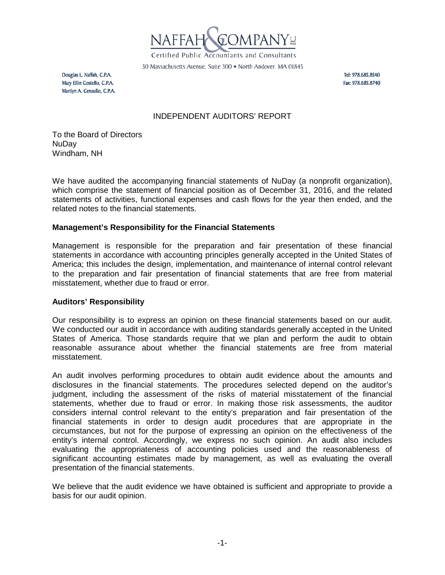

30 Massachusetts Avenue. Suite 300 • North Andover. MA 01845

Douglas L. Naffah, C.P.A. Mary Ellin Costello, C.P.A. Marilyn A. Censullo, C.P.A.

Tel: 978.685.8540 Fax: 978.685.8740

# INDEPENDENT AUDITORS' REPORT

To the Board of Directors NuDay Windham, NH

We have audited the accompanying financial statements of NuDay (a nonprofit organization), which comprise the statement of financial position as of December 31, 2016, and the related statements of activities, functional expenses and cash flows for the year then ended, and the related notes to the financial statements.

# **Management's Responsibility for the Financial Statements**

Management is responsible for the preparation and fair presentation of these financial statements in accordance with accounting principles generally accepted in the United States of America; this includes the design, implementation, and maintenance of internal control relevant to the preparation and fair presentation of financial statements that are free from material misstatement, whether due to fraud or error.

### **Auditors' Responsibility**

Our responsibility is to express an opinion on these financial statements based on our audit. We conducted our audit in accordance with auditing standards generally accepted in the United States of America. Those standards require that we plan and perform the audit to obtain reasonable assurance about whether the financial statements are free from material misstatement.

An audit involves performing procedures to obtain audit evidence about the amounts and disclosures in the financial statements. The procedures selected depend on the auditor's judgment, including the assessment of the risks of material misstatement of the financial statements, whether due to fraud or error. In making those risk assessments, the auditor considers internal control relevant to the entity's preparation and fair presentation of the financial statements in order to design audit procedures that are appropriate in the circumstances, but not for the purpose of expressing an opinion on the effectiveness of the entity's internal control. Accordingly, we express no such opinion. An audit also includes evaluating the appropriateness of accounting policies used and the reasonableness of significant accounting estimates made by management, as well as evaluating the overall presentation of the financial statements.

We believe that the audit evidence we have obtained is sufficient and appropriate to provide a basis for our audit opinion.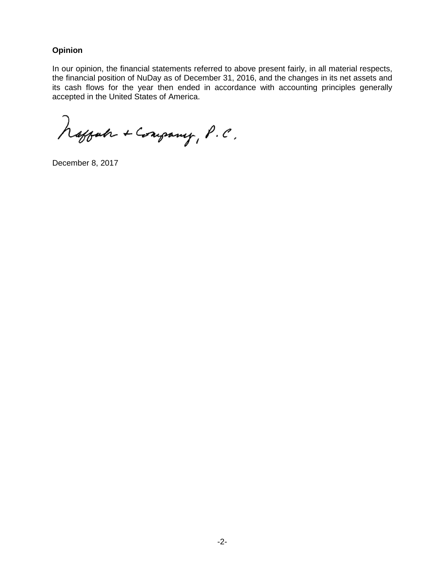# **Opinion**

In our opinion, the financial statements referred to above present fairly, in all material respects, the financial position of NuDay as of December 31, 2016, and the changes in its net assets and its cash flows for the year then ended in accordance with accounting principles generally accepted in the United States of America.

raggate + Congany, P.C.

December 8, 2017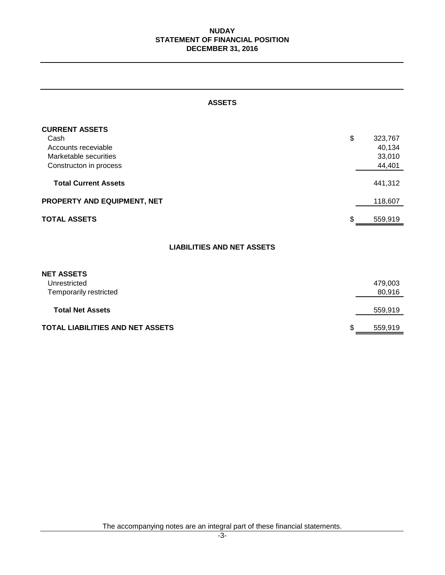#### **NUDAY STATEMENT OF FINANCIAL POSITION DECEMBER 31, 2016**

| <b>ASSETS</b>                                                                                           |                                             |
|---------------------------------------------------------------------------------------------------------|---------------------------------------------|
| <b>CURRENT ASSETS</b><br>Cash<br>Accounts receviable<br>Marketable securities<br>Constructon in process | \$<br>323,767<br>40,134<br>33,010<br>44,401 |
| <b>Total Current Assets</b>                                                                             | 441,312                                     |
| PROPERTY AND EQUIPMENT, NET                                                                             | 118,607                                     |
| <b>TOTAL ASSETS</b>                                                                                     | \$<br>559,919                               |
| <b>LIABILITIES AND NET ASSETS</b>                                                                       |                                             |
| <b>NET ASSETS</b><br>Unrestricted<br>Temporarily restricted                                             | 479,003<br>80,916                           |
| <b>Total Net Assets</b>                                                                                 | 559,919                                     |
| TOTAL LIABILITIES AND NET ASSETS                                                                        | \$<br>559,919                               |

The accompanying notes are an integral part of these financial statements.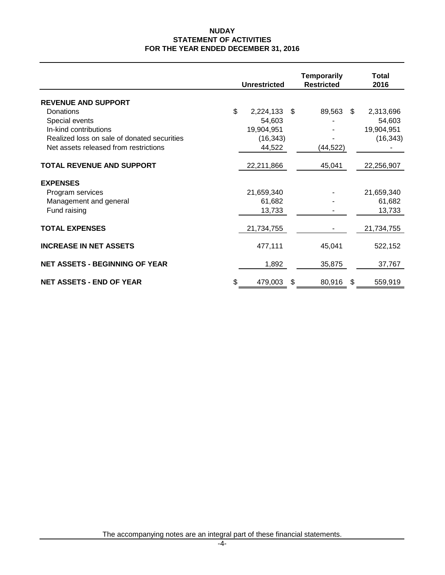### **NUDAY STATEMENT OF ACTIVITIES FOR THE YEAR ENDED DECEMBER 31, 2016**

|                                             | <b>Unrestricted</b> |      | <b>Temporarily</b><br><b>Restricted</b> | Total<br>2016   |
|---------------------------------------------|---------------------|------|-----------------------------------------|-----------------|
| <b>REVENUE AND SUPPORT</b>                  |                     |      |                                         |                 |
| Donations                                   | \$<br>2,224,133     | - \$ | 89,563                                  | \$<br>2,313,696 |
| Special events                              | 54,603              |      |                                         | 54,603          |
| In-kind contributions                       | 19,904,951          |      |                                         | 19,904,951      |
| Realized loss on sale of donated securities | (16, 343)           |      |                                         | (16, 343)       |
| Net assets released from restrictions       | 44,522              |      | (44, 522)                               |                 |
| <b>TOTAL REVENUE AND SUPPORT</b>            | 22,211,866          |      | 45,041                                  | 22,256,907      |
| <b>EXPENSES</b>                             |                     |      |                                         |                 |
| Program services                            | 21,659,340          |      |                                         | 21,659,340      |
| Management and general                      | 61,682              |      |                                         | 61,682          |
| Fund raising                                | 13,733              |      |                                         | 13,733          |
| <b>TOTAL EXPENSES</b>                       | 21,734,755          |      |                                         | 21,734,755      |
| <b>INCREASE IN NET ASSETS</b>               | 477,111             |      | 45,041                                  | 522,152         |
| <b>NET ASSETS - BEGINNING OF YEAR</b>       | 1,892               |      | 35,875                                  | 37,767          |
| <b>NET ASSETS - END OF YEAR</b>             | \$<br>479,003       | \$   | 80,916                                  | \$<br>559,919   |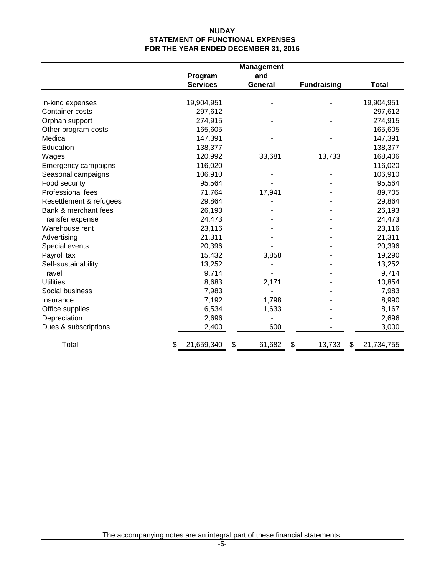# **NUDAY STATEMENT OF FUNCTIONAL EXPENSES FOR THE YEAR ENDED DECEMBER 31, 2016**

|                         |                 | <b>Management</b> |                    |                  |
|-------------------------|-----------------|-------------------|--------------------|------------------|
|                         | Program         | and               |                    |                  |
|                         | <b>Services</b> | General           | <b>Fundraising</b> | <b>Total</b>     |
|                         |                 |                   |                    |                  |
| In-kind expenses        | 19,904,951      |                   |                    | 19,904,951       |
| Container costs         | 297,612         |                   |                    | 297,612          |
| Orphan support          | 274,915         |                   |                    | 274,915          |
| Other program costs     | 165,605         |                   |                    | 165,605          |
| Medical                 | 147,391         |                   |                    | 147,391          |
| Education               | 138,377         |                   |                    | 138,377          |
| Wages                   | 120,992         | 33,681            | 13,733             | 168,406          |
| Emergency campaigns     | 116,020         |                   |                    | 116,020          |
| Seasonal campaigns      | 106,910         |                   |                    | 106,910          |
| Food security           | 95,564          |                   |                    | 95,564           |
| Professional fees       | 71,764          | 17,941            |                    | 89,705           |
| Resettlement & refugees | 29,864          |                   |                    | 29,864           |
| Bank & merchant fees    | 26,193          |                   |                    | 26,193           |
| Transfer expense        | 24,473          |                   |                    | 24,473           |
| Warehouse rent          | 23,116          |                   |                    | 23,116           |
| Advertising             | 21,311          |                   |                    | 21,311           |
| Special events          | 20,396          |                   |                    | 20,396           |
| Payroll tax             | 15,432          | 3,858             |                    | 19,290           |
| Self-sustainability     | 13,252          |                   |                    | 13,252           |
| Travel                  | 9,714           |                   |                    | 9,714            |
| <b>Utilities</b>        | 8,683           | 2,171             |                    | 10,854           |
| Social business         | 7,983           |                   |                    | 7,983            |
| Insurance               | 7,192           | 1,798             |                    | 8,990            |
| Office supplies         | 6,534           | 1,633             |                    | 8,167            |
| Depreciation            | 2,696           |                   |                    | 2,696            |
| Dues & subscriptions    | 2,400           | 600               |                    | 3,000            |
| Total                   | 21,659,340      | \$<br>61,682      | \$<br>13,733       | \$<br>21,734,755 |

The accompanying notes are an integral part of these financial statements.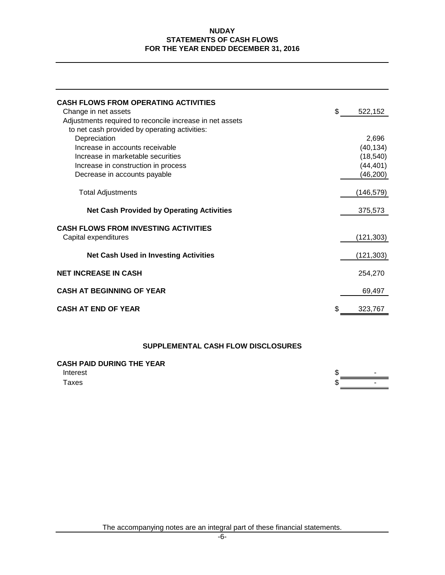#### **NUDAY STATEMENTS OF CASH FLOWS FOR THE YEAR ENDED DECEMBER 31, 2016**

| \$.<br>Change in net assets<br>Adjustments required to reconcile increase in net assets<br>to net cash provided by operating activities:<br>Depreciation<br>Increase in accounts receivable<br>Increase in marketable securities<br>Increase in construction in process<br>Decrease in accounts payable<br><b>Total Adjustments</b><br><b>Net Cash Provided by Operating Activities</b><br><b>CASH FLOWS FROM INVESTING ACTIVITIES</b><br>Capital expenditures<br><b>Net Cash Used in Investing Activities</b><br><b>NET INCREASE IN CASH</b><br><b>CASH AT BEGINNING OF YEAR</b> | <b>CASH FLOWS FROM OPERATING ACTIVITIES</b> |            |
|-----------------------------------------------------------------------------------------------------------------------------------------------------------------------------------------------------------------------------------------------------------------------------------------------------------------------------------------------------------------------------------------------------------------------------------------------------------------------------------------------------------------------------------------------------------------------------------|---------------------------------------------|------------|
|                                                                                                                                                                                                                                                                                                                                                                                                                                                                                                                                                                                   |                                             | 522,152    |
|                                                                                                                                                                                                                                                                                                                                                                                                                                                                                                                                                                                   |                                             |            |
|                                                                                                                                                                                                                                                                                                                                                                                                                                                                                                                                                                                   |                                             |            |
|                                                                                                                                                                                                                                                                                                                                                                                                                                                                                                                                                                                   |                                             | 2,696      |
|                                                                                                                                                                                                                                                                                                                                                                                                                                                                                                                                                                                   |                                             | (40, 134)  |
|                                                                                                                                                                                                                                                                                                                                                                                                                                                                                                                                                                                   |                                             | (18, 540)  |
|                                                                                                                                                                                                                                                                                                                                                                                                                                                                                                                                                                                   |                                             | (44, 401)  |
|                                                                                                                                                                                                                                                                                                                                                                                                                                                                                                                                                                                   |                                             | (46, 200)  |
|                                                                                                                                                                                                                                                                                                                                                                                                                                                                                                                                                                                   |                                             |            |
|                                                                                                                                                                                                                                                                                                                                                                                                                                                                                                                                                                                   |                                             | (146, 579) |
|                                                                                                                                                                                                                                                                                                                                                                                                                                                                                                                                                                                   |                                             | 375,573    |
|                                                                                                                                                                                                                                                                                                                                                                                                                                                                                                                                                                                   |                                             |            |
|                                                                                                                                                                                                                                                                                                                                                                                                                                                                                                                                                                                   |                                             | (121, 303) |
|                                                                                                                                                                                                                                                                                                                                                                                                                                                                                                                                                                                   |                                             |            |
|                                                                                                                                                                                                                                                                                                                                                                                                                                                                                                                                                                                   |                                             | (121, 303) |
|                                                                                                                                                                                                                                                                                                                                                                                                                                                                                                                                                                                   |                                             |            |
|                                                                                                                                                                                                                                                                                                                                                                                                                                                                                                                                                                                   |                                             | 254,270    |
|                                                                                                                                                                                                                                                                                                                                                                                                                                                                                                                                                                                   |                                             | 69,497     |
|                                                                                                                                                                                                                                                                                                                                                                                                                                                                                                                                                                                   |                                             |            |
|                                                                                                                                                                                                                                                                                                                                                                                                                                                                                                                                                                                   | <b>CASH AT END OF YEAR</b>                  | 323,767    |

### **SUPPLEMENTAL CASH FLOW DISCLOSURES**

### **CASH PAID DURING THE YEAR**

| Interest<br>. |  |
|---------------|--|
| <b>Taxes</b>  |  |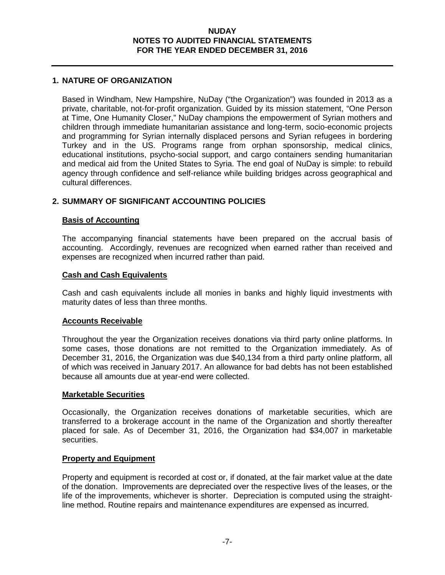# **1. NATURE OF ORGANIZATION**

Based in Windham, New Hampshire, NuDay ("the Organization") was founded in 2013 as a private, charitable, not-for-profit organization. Guided by its mission statement, "One Person at Time, One Humanity Closer," NuDay champions the empowerment of Syrian mothers and children through immediate humanitarian assistance and long-term, socio-economic projects and programming for Syrian internally displaced persons and Syrian refugees in bordering Turkey and in the US. Programs range from orphan sponsorship, medical clinics, educational institutions, psycho-social support, and cargo containers sending humanitarian and medical aid from the United States to Syria. The end goal of NuDay is simple: to rebuild agency through confidence and self-reliance while building bridges across geographical and cultural differences.

# **2. SUMMARY OF SIGNIFICANT ACCOUNTING POLICIES**

### **Basis of Accounting**

The accompanying financial statements have been prepared on the accrual basis of accounting. Accordingly, revenues are recognized when earned rather than received and expenses are recognized when incurred rather than paid.

### **Cash and Cash Equivalents**

Cash and cash equivalents include all monies in banks and highly liquid investments with maturity dates of less than three months.

### **Accounts Receivable**

Throughout the year the Organization receives donations via third party online platforms. In some cases, those donations are not remitted to the Organization immediately. As of December 31, 2016, the Organization was due \$40,134 from a third party online platform, all of which was received in January 2017. An allowance for bad debts has not been established because all amounts due at year-end were collected.

#### **Marketable Securities**

Occasionally, the Organization receives donations of marketable securities, which are transferred to a brokerage account in the name of the Organization and shortly thereafter placed for sale. As of December 31, 2016, the Organization had \$34,007 in marketable securities.

#### **Property and Equipment**

Property and equipment is recorded at cost or, if donated, at the fair market value at the date of the donation. Improvements are depreciated over the respective lives of the leases, or the life of the improvements, whichever is shorter. Depreciation is computed using the straightline method. Routine repairs and maintenance expenditures are expensed as incurred.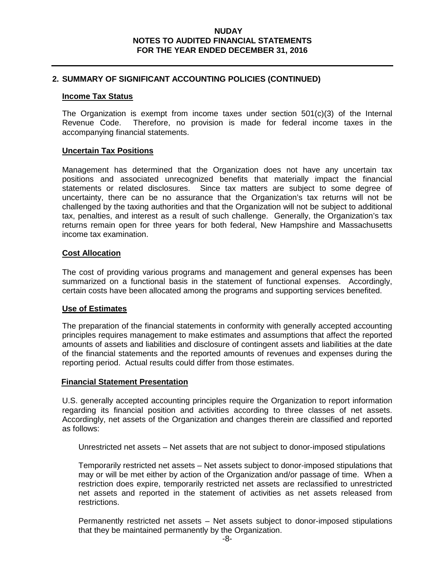# **2. SUMMARY OF SIGNIFICANT ACCOUNTING POLICIES (CONTINUED)**

#### **Income Tax Status**

The Organization is exempt from income taxes under section  $501(c)(3)$  of the Internal Revenue Code. Therefore, no provision is made for federal income taxes in the accompanying financial statements.

### **Uncertain Tax Positions**

Management has determined that the Organization does not have any uncertain tax positions and associated unrecognized benefits that materially impact the financial statements or related disclosures. Since tax matters are subject to some degree of uncertainty, there can be no assurance that the Organization's tax returns will not be challenged by the taxing authorities and that the Organization will not be subject to additional tax, penalties, and interest as a result of such challenge. Generally, the Organization's tax returns remain open for three years for both federal, New Hampshire and Massachusetts income tax examination.

### **Cost Allocation**

The cost of providing various programs and management and general expenses has been summarized on a functional basis in the statement of functional expenses. Accordingly, certain costs have been allocated among the programs and supporting services benefited.

### **Use of Estimates**

The preparation of the financial statements in conformity with generally accepted accounting principles requires management to make estimates and assumptions that affect the reported amounts of assets and liabilities and disclosure of contingent assets and liabilities at the date of the financial statements and the reported amounts of revenues and expenses during the reporting period. Actual results could differ from those estimates.

### **Financial Statement Presentation**

U.S. generally accepted accounting principles require the Organization to report information regarding its financial position and activities according to three classes of net assets. Accordingly, net assets of the Organization and changes therein are classified and reported as follows:

Unrestricted net assets – Net assets that are not subject to donor-imposed stipulations

Temporarily restricted net assets – Net assets subject to donor-imposed stipulations that may or will be met either by action of the Organization and/or passage of time. When a restriction does expire, temporarily restricted net assets are reclassified to unrestricted net assets and reported in the statement of activities as net assets released from restrictions.

Permanently restricted net assets – Net assets subject to donor-imposed stipulations that they be maintained permanently by the Organization.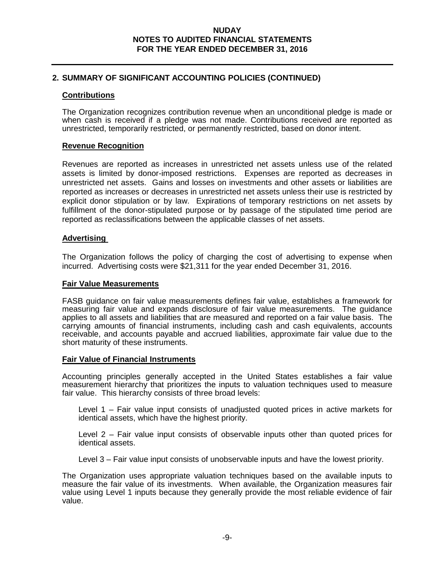# **2. SUMMARY OF SIGNIFICANT ACCOUNTING POLICIES (CONTINUED)**

#### **Contributions**

The Organization recognizes contribution revenue when an unconditional pledge is made or when cash is received if a pledge was not made. Contributions received are reported as unrestricted, temporarily restricted, or permanently restricted, based on donor intent.

#### **Revenue Recognition**

Revenues are reported as increases in unrestricted net assets unless use of the related assets is limited by donor-imposed restrictions. Expenses are reported as decreases in unrestricted net assets. Gains and losses on investments and other assets or liabilities are reported as increases or decreases in unrestricted net assets unless their use is restricted by explicit donor stipulation or by law. Expirations of temporary restrictions on net assets by fulfillment of the donor-stipulated purpose or by passage of the stipulated time period are reported as reclassifications between the applicable classes of net assets.

#### **Advertising**

The Organization follows the policy of charging the cost of advertising to expense when incurred. Advertising costs were \$21,311 for the year ended December 31, 2016.

#### **Fair Value Measurements**

FASB guidance on fair value measurements defines fair value, establishes a framework for measuring fair value and expands disclosure of fair value measurements. The guidance applies to all assets and liabilities that are measured and reported on a fair value basis. The carrying amounts of financial instruments, including cash and cash equivalents, accounts receivable, and accounts payable and accrued liabilities, approximate fair value due to the short maturity of these instruments.

#### **Fair Value of Financial Instruments**

Accounting principles generally accepted in the United States establishes a fair value measurement hierarchy that prioritizes the inputs to valuation techniques used to measure fair value. This hierarchy consists of three broad levels:

Level 1 – Fair value input consists of unadjusted quoted prices in active markets for identical assets, which have the highest priority.

Level 2 – Fair value input consists of observable inputs other than quoted prices for identical assets.

Level 3 – Fair value input consists of unobservable inputs and have the lowest priority.

The Organization uses appropriate valuation techniques based on the available inputs to measure the fair value of its investments. When available, the Organization measures fair value using Level 1 inputs because they generally provide the most reliable evidence of fair value.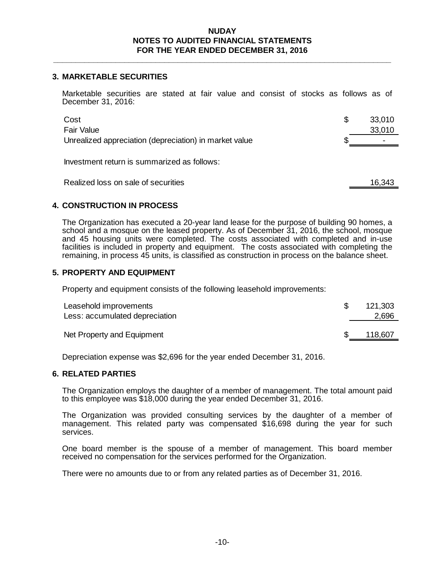**\_\_\_\_\_\_\_\_\_\_\_\_\_\_\_\_\_\_\_\_\_\_\_\_\_\_\_\_\_\_\_\_\_\_\_\_\_\_\_\_\_\_\_\_\_\_\_\_\_\_\_\_\_\_\_\_\_\_\_\_\_\_\_\_\_\_\_\_\_\_\_\_\_\_\_\_**

### **3. MARKETABLE SECURITIES**

Marketable securities are stated at fair value and consist of stocks as follows as of December 31, 2016:

| Cost<br><b>Fair Value</b>                              | \$<br>33,010<br>33,010 |
|--------------------------------------------------------|------------------------|
| Unrealized appreciation (depreciation) in market value |                        |
| Investment return is summarized as follows:            |                        |
| Realized loss on sale of securities                    | 16,343                 |

# **4. CONSTRUCTION IN PROCESS**

The Organization has executed a 20-year land lease for the purpose of building 90 homes, a school and a mosque on the leased property. As of December 31, 2016, the school, mosque and 45 housing units were completed. The costs associated with completed and in-use facilities is included in property and equipment. The costs associated with completing the remaining, in process 45 units, is classified as construction in process on the balance sheet.

### **5. PROPERTY AND EQUIPMENT**

Property and equipment consists of the following leasehold improvements:

| Leasehold improvements<br>Less: accumulated depreciation | 121,303<br>2,696 |
|----------------------------------------------------------|------------------|
| Net Property and Equipment                               | 118,607          |

Depreciation expense was \$2,696 for the year ended December 31, 2016.

### **6. RELATED PARTIES**

The Organization employs the daughter of a member of management. The total amount paid to this employee was \$18,000 during the year ended December 31, 2016.

The Organization was provided consulting services by the daughter of a member of management. This related party was compensated \$16,698 during the year for such services.

One board member is the spouse of a member of management. This board member received no compensation for the services performed for the Organization.

There were no amounts due to or from any related parties as of December 31, 2016.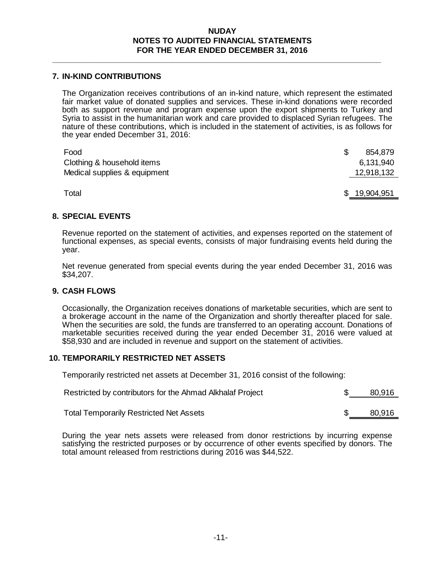**\_\_\_\_\_\_\_\_\_\_\_\_\_\_\_\_\_\_\_\_\_\_\_\_\_\_\_\_\_\_\_\_\_\_\_\_\_\_\_\_\_\_\_\_\_\_\_\_\_\_\_\_\_\_\_\_\_\_\_\_\_\_\_\_\_\_\_\_\_\_\_\_\_\_**

# **7. IN-KIND CONTRIBUTIONS**

The Organization receives contributions of an in-kind nature, which represent the estimated fair market value of donated supplies and services. These in-kind donations were recorded both as support revenue and program expense upon the export shipments to Turkey and Syria to assist in the humanitarian work and care provided to displaced Syrian refugees. The nature of these contributions, which is included in the statement of activities, is as follows for the year ended December 31, 2016:

|    | 854,879    |
|----|------------|
|    | 6,131,940  |
|    | 12,918,132 |
|    |            |
| S. | 19,904,951 |
|    |            |

# **8. SPECIAL EVENTS**

Revenue reported on the statement of activities, and expenses reported on the statement of functional expenses, as special events, consists of major fundraising events held during the year.

Net revenue generated from special events during the year ended December 31, 2016 was \$34,207.

### **9. CASH FLOWS**

Occasionally, the Organization receives donations of marketable securities, which are sent to a brokerage account in the name of the Organization and shortly thereafter placed for sale. When the securities are sold, the funds are transferred to an operating account. Donations of marketable securities received during the year ended December 31, 2016 were valued at \$58,930 and are included in revenue and support on the statement of activities.

### **10. TEMPORARILY RESTRICTED NET ASSETS**

Temporarily restricted net assets at December 31, 2016 consist of the following:

| Restricted by contributors for the Ahmad Alkhalaf Project | 80,916 |
|-----------------------------------------------------------|--------|
| <b>Total Temporarily Restricted Net Assets</b>            | 80,916 |
|                                                           |        |

During the year nets assets were released from donor restrictions by incurring expense satisfying the restricted purposes or by occurrence of other events specified by donors. The total amount released from restrictions during 2016 was \$44,522.